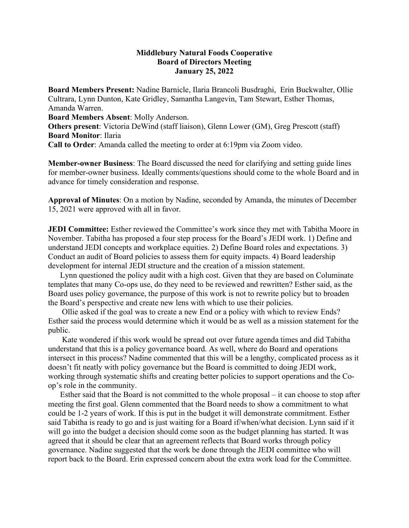## **Middlebury Natural Foods Cooperative Board of Directors Meeting January 25, 2022**

**Board Members Present:** Nadine Barnicle, Ilaria Brancoli Busdraghi, Erin Buckwalter, Ollie Cultrara, Lynn Dunton, Kate Gridley, Samantha Langevin, Tam Stewart, Esther Thomas, Amanda Warren. **Board Members Absent**: Molly Anderson. **Others present**: Victoria DeWind (staff liaison), Glenn Lower (GM), Greg Prescott (staff) **Board Monitor**: Ilaria **Call to Order**: Amanda called the meeting to order at 6:19pm via Zoom video.

**Member-owner Business**: The Board discussed the need for clarifying and setting guide lines for member-owner business. Ideally comments/questions should come to the whole Board and in advance for timely consideration and response.

**Approval of Minutes**: On a motion by Nadine, seconded by Amanda, the minutes of December 15, 2021 were approved with all in favor.

**JEDI Committee:** Esther reviewed the Committee's work since they met with Tabitha Moore in November. Tabitha has proposed a four step process for the Board's JEDI work. 1) Define and understand JEDI concepts and workplace equities. 2) Define Board roles and expectations. 3) Conduct an audit of Board policies to assess them for equity impacts. 4) Board leadership development for internal JEDI structure and the creation of a mission statement.

 Lynn questioned the policy audit with a high cost. Given that they are based on Columinate templates that many Co-ops use, do they need to be reviewed and rewritten? Esther said, as the Board uses policy governance, the purpose of this work is not to rewrite policy but to broaden the Board's perspective and create new lens with which to use their policies.

 Ollie asked if the goal was to create a new End or a policy with which to review Ends? Esther said the process would determine which it would be as well as a mission statement for the public.

 Kate wondered if this work would be spread out over future agenda times and did Tabitha understand that this is a policy governance board. As well, where do Board and operations intersect in this process? Nadine commented that this will be a lengthy, complicated process as it doesn't fit neatly with policy governance but the Board is committed to doing JEDI work, working through systematic shifts and creating better policies to support operations and the Coop's role in the community.

 Esther said that the Board is not committed to the whole proposal – it can choose to stop after meeting the first goal. Glenn commented that the Board needs to show a commitment to what could be 1-2 years of work. If this is put in the budget it will demonstrate commitment. Esther said Tabitha is ready to go and is just waiting for a Board if/when/what decision. Lynn said if it will go into the budget a decision should come soon as the budget planning has started. It was agreed that it should be clear that an agreement reflects that Board works through policy governance. Nadine suggested that the work be done through the JEDI committee who will report back to the Board. Erin expressed concern about the extra work load for the Committee.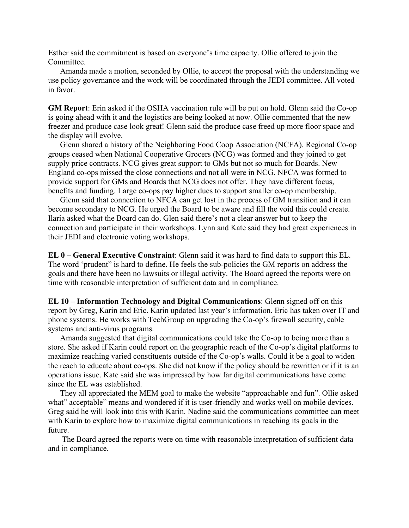Esther said the commitment is based on everyone's time capacity. Ollie offered to join the Committee.

 Amanda made a motion, seconded by Ollie, to accept the proposal with the understanding we use policy governance and the work will be coordinated through the JEDI committee. All voted in favor.

**GM Report**: Erin asked if the OSHA vaccination rule will be put on hold. Glenn said the Co-op is going ahead with it and the logistics are being looked at now. Ollie commented that the new freezer and produce case look great! Glenn said the produce case freed up more floor space and the display will evolve.

 Glenn shared a history of the Neighboring Food Coop Association (NCFA). Regional Co-op groups ceased when National Cooperative Grocers (NCG) was formed and they joined to get supply price contracts. NCG gives great support to GMs but not so much for Boards. New England co-ops missed the close connections and not all were in NCG. NFCA was formed to provide support for GMs and Boards that NCG does not offer. They have different focus, benefits and funding. Large co-ops pay higher dues to support smaller co-op membership.

 Glenn said that connection to NFCA can get lost in the process of GM transition and it can become secondary to NCG. He urged the Board to be aware and fill the void this could create. Ilaria asked what the Board can do. Glen said there's not a clear answer but to keep the connection and participate in their workshops. Lynn and Kate said they had great experiences in their JEDI and electronic voting workshops.

**EL 0 – General Executive Constraint**: Glenn said it was hard to find data to support this EL. The word 'prudent" is hard to define. He feels the sub-policies the GM reports on address the goals and there have been no lawsuits or illegal activity. The Board agreed the reports were on time with reasonable interpretation of sufficient data and in compliance.

**EL 10 – Information Technology and Digital Communications**: Glenn signed off on this report by Greg, Karin and Eric. Karin updated last year's information. Eric has taken over IT and phone systems. He works with TechGroup on upgrading the Co-op's firewall security, cable systems and anti-virus programs.

 Amanda suggested that digital communications could take the Co-op to being more than a store. She asked if Karin could report on the geographic reach of the Co-op's digital platforms to maximize reaching varied constituents outside of the Co-op's walls. Could it be a goal to widen the reach to educate about co-ops. She did not know if the policy should be rewritten or if it is an operations issue. Kate said she was impressed by how far digital communications have come since the EL was established.

 They all appreciated the MEM goal to make the website "approachable and fun". Ollie asked what" acceptable" means and wondered if it is user-friendly and works well on mobile devices. Greg said he will look into this with Karin. Nadine said the communications committee can meet with Karin to explore how to maximize digital communications in reaching its goals in the future.

 The Board agreed the reports were on time with reasonable interpretation of sufficient data and in compliance.